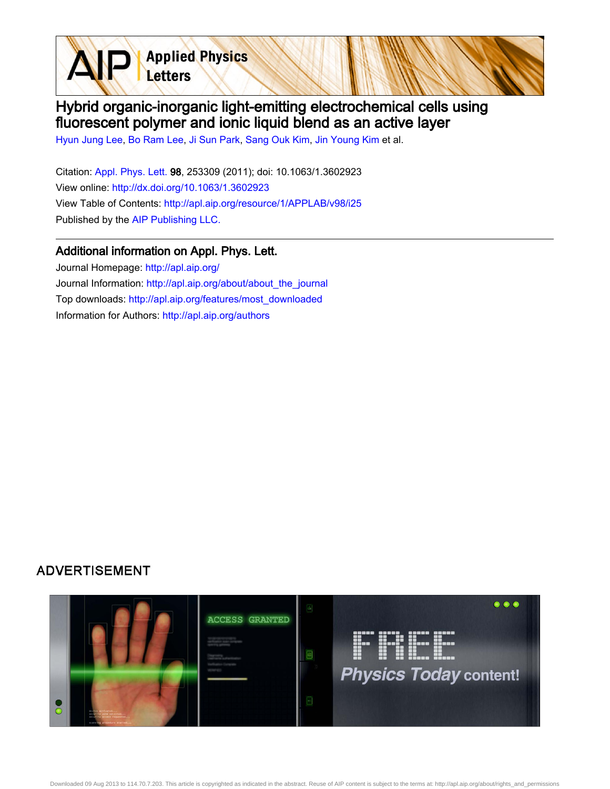**Applied Physics** Letters

## Hybrid organic-inorganic light-emitting electrochemical cells using fluorescent polymer and ionic liquid blend as an active layer

[Hyun Jung Lee](http://apl.aip.org/search?sortby=newestdate&q=&searchzone=2&searchtype=searchin&faceted=faceted&key=AIP_ALL&possible1=Hyun Jung Lee&possible1zone=author&alias=&displayid=AIP&ver=pdfcov), [Bo Ram Lee](http://apl.aip.org/search?sortby=newestdate&q=&searchzone=2&searchtype=searchin&faceted=faceted&key=AIP_ALL&possible1=Bo Ram Lee&possible1zone=author&alias=&displayid=AIP&ver=pdfcov), [Ji Sun Park,](http://apl.aip.org/search?sortby=newestdate&q=&searchzone=2&searchtype=searchin&faceted=faceted&key=AIP_ALL&possible1=Ji Sun Park&possible1zone=author&alias=&displayid=AIP&ver=pdfcov) [Sang Ouk Kim,](http://apl.aip.org/search?sortby=newestdate&q=&searchzone=2&searchtype=searchin&faceted=faceted&key=AIP_ALL&possible1=Sang Ouk Kim&possible1zone=author&alias=&displayid=AIP&ver=pdfcov) [Jin Young Kim](http://apl.aip.org/search?sortby=newestdate&q=&searchzone=2&searchtype=searchin&faceted=faceted&key=AIP_ALL&possible1=Jin Young Kim&possible1zone=author&alias=&displayid=AIP&ver=pdfcov) et al.

Citation: [Appl. Phys. Lett. 9](http://apl.aip.org/?ver=pdfcov)8, 253309 (2011); doi: 10.1063/1.3602923 View online: [http://dx.doi.org/10.1063/1.3602923](http://link.aip.org/link/doi/10.1063/1.3602923?ver=pdfcov) View Table of Contents: [http://apl.aip.org/resource/1/APPLAB/v98/i25](http://apl.aip.org/resource/1/APPLAB/v98/i25?ver=pdfcov) Published by the [AIP Publishing LLC.](http://www.aip.org/?ver=pdfcov)

## Additional information on Appl. Phys. Lett.

Journal Homepage: [http://apl.aip.org/](http://apl.aip.org/?ver=pdfcov) Journal Information: [http://apl.aip.org/about/about\\_the\\_journal](http://apl.aip.org/about/about_the_journal?ver=pdfcov) Top downloads: [http://apl.aip.org/features/most\\_downloaded](http://apl.aip.org/features/most_downloaded?ver=pdfcov) Information for Authors: [http://apl.aip.org/authors](http://apl.aip.org/authors?ver=pdfcov)

## **ADVERTISEMENT**

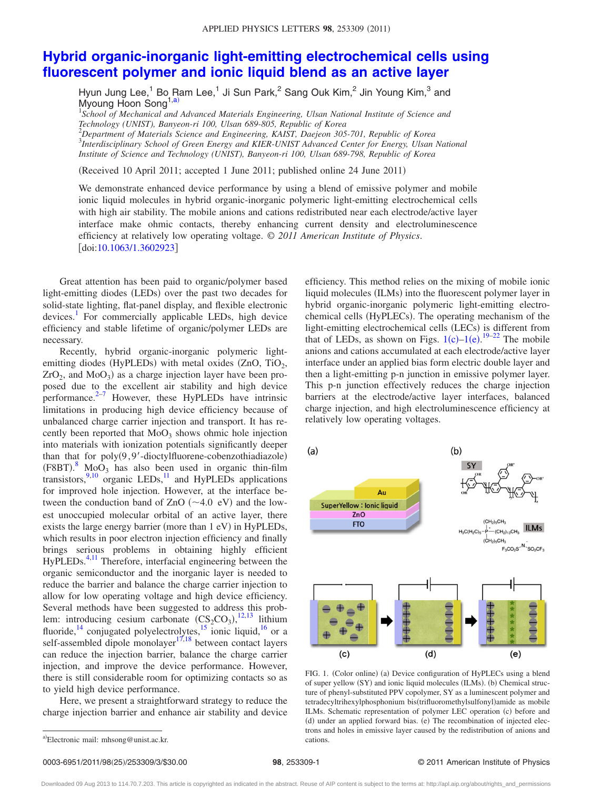## **[Hybrid organic-inorganic light-emitting electrochemical cells using](http://dx.doi.org/10.1063/1.3602923) [fluorescent polymer and ionic liquid blend as an active layer](http://dx.doi.org/10.1063/1.3602923)**

Hyun Jung Lee,<sup>1</sup> Bo Ram Lee,<sup>1</sup> Ji Sun Park,<sup>2</sup> Sang Ouk Kim,<sup>2</sup> Jin Young Kim,<sup>3</sup> and Myoung Hoon Song<sup>1[,a](#page-1-0)</sup>

<sup>1</sup>School of Mechanical and Advanced Materials Engineering, Ulsan National Institute of Science and *Technology (UNIST), Banyeon-ri 100, Ulsan 689-805, Republic of Korea*

2 *Department of Materials Science and Engineering, KAIST, Daejeon 305-701, Republic of Korea* 3 *Interdisciplinary School of Green Energy and KIER-UNIST Advanced Center for Energy, Ulsan National Institute of Science and Technology (UNIST), Banyeon-ri 100, Ulsan 689-798, Republic of Korea*

(Received 10 April 2011; accepted 1 June 2011; published online 24 June 2011)

We demonstrate enhanced device performance by using a blend of emissive polymer and mobile ionic liquid molecules in hybrid organic-inorganic polymeric light-emitting electrochemical cells with high air stability. The mobile anions and cations redistributed near each electrode/active layer interface make ohmic contacts, thereby enhancing current density and electroluminescence efficiency at relatively low operating voltage. © *2011 American Institute of Physics*. [doi[:10.1063/1.3602923](http://dx.doi.org/10.1063/1.3602923)]

Great attention has been paid to organic/polymer based light-emitting diodes (LEDs) over the past two decades for solid-state lighting, flat-panel display, and flexible electronic  $devices<sup>1</sup>$  For commercially applicable LEDs, high device efficiency and stable lifetime of organic/polymer LEDs are necessary.

Recently, hybrid organic-inorganic polymeric lightemitting diodes (HyPLEDs) with metal oxides (ZnO, TiO<sub>2</sub>,  $ZrO<sub>2</sub>$ , and MoO<sub>3</sub>) as a charge injection layer have been proposed due to the excellent air stability and high device performance. $2^{-7}$  However, these HyPLEDs have intrinsic limitations in producing high device efficiency because of unbalanced charge carrier injection and transport. It has recently been reported that  $MoO<sub>3</sub>$  shows ohmic hole injection into materials with ionization potentials significantly deeper than that for  $poly(9, 9'$ -dioctylfluorene-cobenzothiadiazole)  $(F8BT)$  $(F8BT)$  $(F8BT)$ .<sup>8</sup> MoO<sub>3</sub> has also been used in organic thin-film transistors, $\frac{9,10}{10}$  $\frac{9,10}{10}$  $\frac{9,10}{10}$  organic LEDs, $\frac{11}{11}$  and HyPLEDs applications for improved hole injection. However, at the interface between the conduction band of  $ZnO$   $(\sim 4.0 \text{ eV})$  and the lowest unoccupied molecular orbital of an active layer, there exists the large energy barrier (more than 1 eV) in HyPLEDs, which results in poor electron injection efficiency and finally brings serious problems in obtaining highly efficient HyPLEDs.<sup>4,[11](#page-3-6)</sup> Therefore, interfacial engineering between the organic semiconductor and the inorganic layer is needed to reduce the barrier and balance the charge carrier injection to allow for low operating voltage and high device efficiency. Several methods have been suggested to address this problem: introducing cesium carbonate  $(CS_2CO_3)$ ,<sup>[12](#page-3-8)[,13](#page-3-9)</sup> lithium fluoride,<sup>14</sup> conjugated polyelectrolytes,<sup>15</sup> ionic liquid,<sup>16</sup> or a self-assembled dipole monolayer<sup>17,[18](#page-3-14)</sup> between contact layers can reduce the injection barrier, balance the charge carrier injection, and improve the device performance. However, there is still considerable room for optimizing contacts so as to yield high device performance.

<span id="page-1-0"></span>Here, we present a straightforward strategy to reduce the charge injection barrier and enhance air stability and device

efficiency. This method relies on the mixing of mobile ionic liquid molecules (ILMs) into the fluorescent polymer layer in hybrid organic-inorganic polymeric light-emitting electrochemical cells (HyPLECs). The operating mechanism of the light-emitting electrochemical cells (LECs) is different from that of LEDs, as shown on Figs.  $1(c) - 1(e)$  $1(c) - 1(e)$ . <sup>[19–](#page-3-15)[22](#page-3-16)</sup> The mobile anions and cations accumulated at each electrode/active layer interface under an applied bias form electric double layer and then a light-emitting p-n junction in emissive polymer layer. This p-n junction effectively reduces the charge injection barriers at the electrode/active layer interfaces, balanced charge injection, and high electroluminescence efficiency at relatively low operating voltages.

<span id="page-1-1"></span>

FIG. 1. (Color online) (a) Device configuration of HyPLECs using a blend of super yellow (SY) and ionic liquid molecules (ILMs). (b) Chemical structure of phenyl-substituted PPV copolymer, SY as a luminescent polymer and tetradecyltrihexylphosphonium bis(trifluoromethylsulfonyl)amide as mobile ILMs. Schematic representation of polymer LEC operation (c) before and (d) under an applied forward bias. (e) The recombination of injected electrons and holes in emissive layer caused by the redistribution of anions and cations.

Downloaded 09 Aug 2013 to 114.70.7.203. This article is copyrighted as indicated in the abstract. Reuse of AIP content is subject to the terms at: http://apl.aip.org/about/rights\_and\_permissions

a)Electronic mail: mhsong@unist.ac.kr.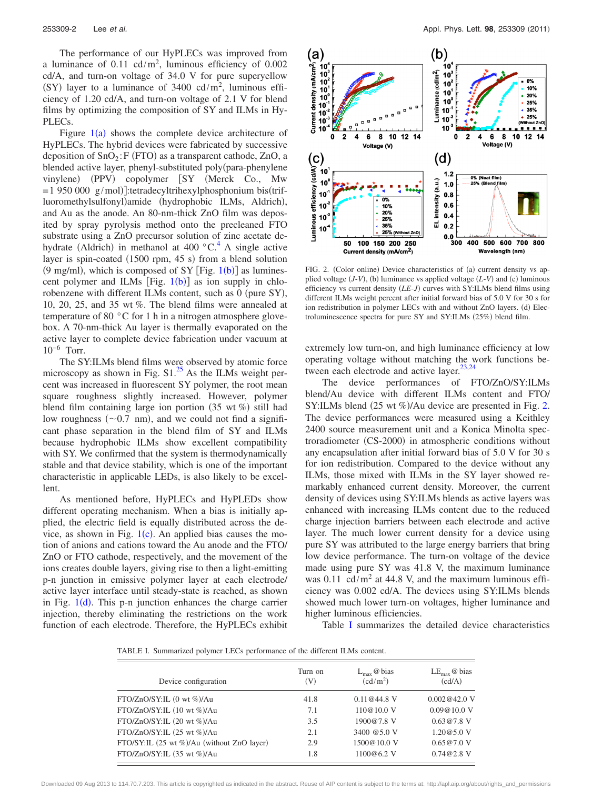The performance of our HyPLECs was improved from a luminance of  $0.11 \text{ cd/m}^2$ , luminous efficiency of  $0.002$ cd/A, and turn-on voltage of 34.0 V for pure superyellow (SY) layer to a luminance of  $3400 \text{ cd/m}^2$ , luminous efficiency of 1.20 cd/A, and turn-on voltage of 2.1 V for blend films by optimizing the composition of SY and ILMs in Hy-PLECs.

Figure  $1(a)$  $1(a)$  shows the complete device architecture of HyPLECs. The hybrid devices were fabricated by successive deposition of  $SnO<sub>2</sub>: F (FTO)$  as a transparent cathode, ZnO, a blended active layer, phenyl-substituted poly(para-phenylene vinylene) (PPV) copolymer [SY (Merck Co., Mw  $= 1950000 \text{ g/mol}$ :tetradecyltrihexylphosphonium bis(trifluoromethylsulfonyl)amide (hydrophobic ILMs, Aldrich), and Au as the anode. An 80-nm-thick ZnO film was deposited by spray pyrolysis method onto the precleaned FTO substrate using a ZnO precursor solution of zinc acetate dehydrate (Aldrich) in methanol at 400  $^{\circ}$ C.<sup>4</sup> A single active layer is spin-coated (1500 rpm, 45 s) from a blend solution  $(9 \text{ mg/ml})$ , which is composed of SY [Fig. [1](#page-1-1)(b)] as luminescent polymer and ILMs [Fig.  $1(b)$  $1(b)$ ] as ion supply in chlorobenzene with different ILMs content, such as 0 (pure SY), 10, 20, 25, and 35 wt %. The blend films were annealed at temperature of 80 °C for 1 h in a nitrogen atmosphere glovebox. A 70-nm-thick Au layer is thermally evaporated on the active layer to complete device fabrication under vacuum at  $10^{-6}$  Torr.

The SY:ILMs blend films were observed by atomic force microscopy as shown in Fig.  $S1<sup>25</sup>$  As the ILMs weight percent was increased in fluorescent SY polymer, the root mean square roughness slightly increased. However, polymer blend film containing large ion portion  $(35 \text{ wt } \%)$  still had low roughness  $(\sim 0.7 \text{ nm})$ , and we could not find a significant phase separation in the blend film of SY and ILMs because hydrophobic ILMs show excellent compatibility with SY. We confirmed that the system is thermodynamically stable and that device stability, which is one of the important characteristic in applicable LEDs, is also likely to be excellent.

As mentioned before, HyPLECs and HyPLEDs show different operating mechanism. When a bias is initially applied, the electric field is equally distributed across the device, as shown in Fig.  $1(c)$  $1(c)$ . An applied bias causes the motion of anions and cations toward the Au anode and the FTO/ ZnO or FTO cathode, respectively, and the movement of the ions creates double layers, giving rise to then a light-emitting p-n junction in emissive polymer layer at each electrode/ active layer interface until steady-state is reached, as shown in Fig.  $1(d)$  $1(d)$ . This p-n junction enhances the charge carrier injection, thereby eliminating the restrictions on the work function of each electrode. Therefore, the HyPLECs exhibit

<span id="page-2-0"></span>

FIG. 2. (Color online) Device characteristics of (a) current density vs applied voltage  $(J-V)$ , (b) luminance vs applied voltage  $(L-V)$  and (c) luminous efficiency vs current density (LE-J) curves with SY:ILMs blend films using different ILMs weight percent after initial forward bias of 5.0 V for 30 s for ion redistribution in polymer LECs with and without ZnO layers. (d) Electroluminescence spectra for pure SY and SY:ILMs (25%) blend film.

extremely low turn-on, and high luminance efficiency at low operating voltage without matching the work functions between each electrode and active layer. $23,24$  $23,24$ 

The device performances of FTO/ZnO/SY:ILMs blend/Au device with different ILMs content and FTO/ SY:ILMs blend (25 wt %)/Au device are presented in Fig. [2.](#page-2-0) The device performances were measured using a Keithley 2400 source measurement unit and a Konica Minolta spectroradiometer (CS-2000) in atmospheric conditions without any encapsulation after initial forward bias of 5.0 V for 30 s for ion redistribution. Compared to the device without any ILMs, those mixed with ILMs in the SY layer showed remarkably enhanced current density. Moreover, the current density of devices using SY:ILMs blends as active layers was enhanced with increasing ILMs content due to the reduced charge injection barriers between each electrode and active layer. The much lower current density for a device using pure SY was attributed to the large energy barriers that bring low device performance. The turn-on voltage of the device made using pure SY was 41.8 V, the maximum luminance was 0.11 cd/m<sup>2</sup> at 44.8 V, and the maximum luminous efficiency was 0.002 cd/A. The devices using SY:ILMs blends showed much lower turn-on voltages, higher luminance and higher luminous efficiencies.

Table [I](#page-2-1) summarizes the detailed device characteristics

<span id="page-2-1"></span>TABLE I. Summarized polymer LECs performance of the different ILMs content.

| Device configuration                       | Turn on<br>(V) | $L_{\rm max}$ @ bias<br>(cd/m <sup>2</sup> ) | $LE_{\text{max}}$ @ bias<br>(cd/A) |
|--------------------------------------------|----------------|----------------------------------------------|------------------------------------|
| FTO/ZnO/SY:IL (0 wt %)/Au                  | 41.8           | $0.11@44.8$ V                                | 0.002@42.0V                        |
| FTO/ZnO/SY:IL (10 wt %)/Au                 | 7.1            | 110@10.0 V                                   | 0.09@10.0V                         |
| FTO/ZnO/SY:IL (20 wt %)/Au                 | 3.5            | 1900@7.8 V                                   | $0.63@7.8$ V                       |
| FTO/ZnO/SY:IL (25 wt %)/Au                 | 2.1            | 3400 @5.0 V                                  | 1.20@5.0 V                         |
| FTO/SY:IL (25 wt %)/Au (without ZnO layer) | 2.9            | 1500@10.0 V                                  | 0.65@7.0V                          |
| FTO/ZnO/SY:IL (35 wt %)/Au                 | 1.8            | 1100@6.2 V                                   | $0.74@2.8$ V                       |

Downloaded 09 Aug 2013 to 114.70.7.203. This article is copyrighted as indicated in the abstract. Reuse of AIP content is subject to the terms at: http://apl.aip.org/about/rights\_and\_permissions